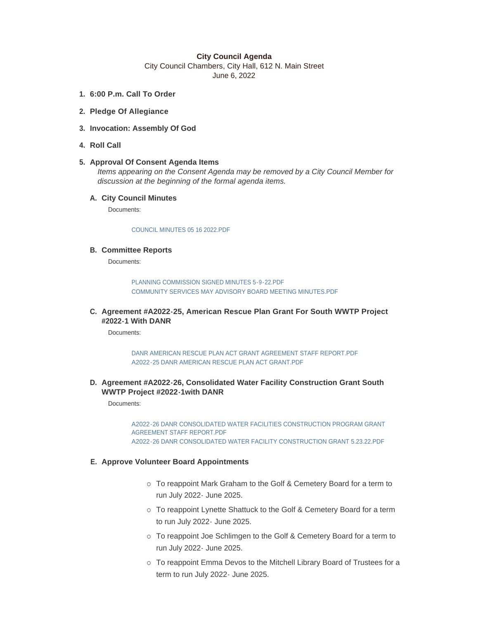## **City Council Agenda**

City Council Chambers, City Hall, 612 N. Main Street June 6, 2022

- **6:00 P.m. Call To Order 1.**
- **Pledge Of Allegiance 2.**
- **Invocation: Assembly Of God 3.**
- **Roll Call 4.**

# **Approval Of Consent Agenda Items 5.**

*Items appearing on the Consent Agenda may be removed by a City Council Member for discussion at the beginning of the formal agenda items.* 

# **City Council Minutes A.**

Documents:

#### [COUNCIL MINUTES 05 16 2022.PDF](https://www.cityofmitchell.org/AgendaCenter/ViewFile/Item/13870?fileID=19779)

### **Committee Reports B.**

Documents:

[PLANNING COMMISSION SIGNED MINUTES 5-9-22.PDF](https://www.cityofmitchell.org/AgendaCenter/ViewFile/Item/13852?fileID=19824) [COMMUNITY SERVICES MAY ADVISORY BOARD MEETING MINUTES.PDF](https://www.cityofmitchell.org/AgendaCenter/ViewFile/Item/13852?fileID=19780)

**Agreement #A2022-25, American Rescue Plan Grant For South WWTP Project C. #2022-1 With DANR** 

Documents:

[DANR AMERICAN RESCUE PLAN ACT GRANT AGREEMENT STAFF REPORT.PDF](https://www.cityofmitchell.org/AgendaCenter/ViewFile/Item/13867?fileID=19763) [A2022-25 DANR AMERICAN RESCUE PLAN ACT GRANT.PDF](https://www.cityofmitchell.org/AgendaCenter/ViewFile/Item/13867?fileID=19764)

**Agreement #A2022-26, Consolidated Water Facility Construction Grant South D. WWTP Project #2022-1with DANR**

Documents:

[A2022-26 DANR CONSOLIDATED WATER FACILITIES CONSTRUCTION PROGRAM GRANT](https://www.cityofmitchell.org/AgendaCenter/ViewFile/Item/13868?fileID=19760)  AGREEMENT STAFF REPORT.PDF [A2022-26 DANR CONSOLIDATED WATER FACILITY CONSTRUCTION GRANT 5.23.22.PDF](https://www.cityofmitchell.org/AgendaCenter/ViewFile/Item/13868?fileID=19761)

## **Approve Volunteer Board Appointments E.**

- o To reappoint Mark Graham to the Golf & Cemetery Board for a term to run July 2022- June 2025.
- o To reappoint Lynette Shattuck to the Golf & Cemetery Board for a term to run July 2022- June 2025.
- o To reappoint Joe Schlimgen to the Golf & Cemetery Board for a term to run July 2022- June 2025.
- o To reappoint Emma Devos to the Mitchell Library Board of Trustees for a term to run July 2022- June 2025.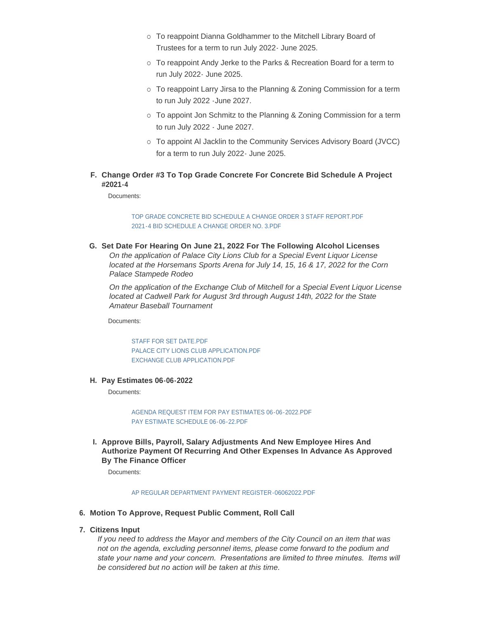- o To reappoint Dianna Goldhammer to the Mitchell Library Board of Trustees for a term to run July 2022- June 2025.
- o To reappoint Andy Jerke to the Parks & Recreation Board for a term to run July 2022- June 2025.
- o To reappoint Larry Jirsa to the Planning & Zoning Commission for a term to run July 2022 -June 2027.
- o To appoint Jon Schmitz to the Planning & Zoning Commission for a term to run July 2022 - June 2027.
- o To appoint Al Jacklin to the Community Services Advisory Board (JVCC) for a term to run July 2022- June 2025.
- **Change Order #3 To Top Grade Concrete For Concrete Bid Schedule A Project F. #2021-4**

Documents:

[TOP GRADE CONCRETE BID SCHEDULE A CHANGE ORDER 3 STAFF REPORT.PDF](https://www.cityofmitchell.org/AgendaCenter/ViewFile/Item/13877?fileID=19813) [2021-4 BID SCHEDULE A CHANGE ORDER NO. 3.PDF](https://www.cityofmitchell.org/AgendaCenter/ViewFile/Item/13877?fileID=19814)

**Set Date For Hearing On June 21, 2022 For The Following Alcohol Licenses G.** *On the application of Palace City Lions Club for a Special Event Liquor License located at the Horsemans Sports Arena for July 14, 15, 16 & 17, 2022 for the Corn Palace Stampede Rodeo*

*On the application of the Exchange Club of Mitchell for a Special Event Liquor License located at Cadwell Park for August 3rd through August 14th, 2022 for the State Amateur Baseball Tournament*

Documents:

[STAFF FOR SET DATE.PDF](https://www.cityofmitchell.org/AgendaCenter/ViewFile/Item/13872?fileID=19777) [PALACE CITY LIONS CLUB APPLICATION.PDF](https://www.cityofmitchell.org/AgendaCenter/ViewFile/Item/13872?fileID=19775) [EXCHANGE CLUB APPLICATION.PDF](https://www.cityofmitchell.org/AgendaCenter/ViewFile/Item/13872?fileID=19774)

**Pay Estimates 06-06-2022 H.**

Documents:

[AGENDA REQUEST ITEM FOR PAY ESTIMATES 06-06-2022.PDF](https://www.cityofmitchell.org/AgendaCenter/ViewFile/Item/13805?fileID=19696) [PAY ESTIMATE SCHEDULE 06-06-22.PDF](https://www.cityofmitchell.org/AgendaCenter/ViewFile/Item/13805?fileID=19786)

**Approve Bills, Payroll, Salary Adjustments And New Employee Hires And I. Authorize Payment Of Recurring And Other Expenses In Advance As Approved By The Finance Officer**

Documents:

### [AP REGULAR DEPARTMENT PAYMENT REGISTER-06062022.PDF](https://www.cityofmitchell.org/AgendaCenter/ViewFile/Item/13849?fileID=19823)

- **Motion To Approve, Request Public Comment, Roll Call 6.**
- **Citizens Input 7.**

*If you need to address the Mayor and members of the City Council on an item that was not on the agenda, excluding personnel items, please come forward to the podium and state your name and your concern. Presentations are limited to three minutes. Items will be considered but no action will be taken at this time.*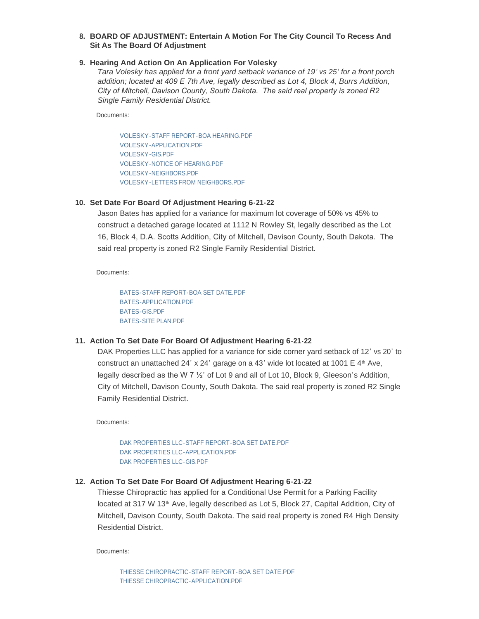# **BOARD OF ADJUSTMENT: Entertain A Motion For The City Council To Recess And 8. Sit As The Board Of Adjustment**

### **Hearing And Action On An Application For Volesky 9.**

*Tara Volesky has applied for a front yard setback variance of 19' vs 25' for a front porch addition; located at 409 E 7th Ave, legally described as Lot 4, Block 4, Burrs Addition, City of Mitchell, Davison County, South Dakota. The said real property is zoned R2 Single Family Residential District.*

Documents:

[VOLESKY-STAFF REPORT-BOA HEARING.PDF](https://www.cityofmitchell.org/AgendaCenter/ViewFile/Item/13860?fileID=19746) [VOLESKY-APPLICATION.PDF](https://www.cityofmitchell.org/AgendaCenter/ViewFile/Item/13860?fileID=19747) [VOLESKY-GIS.PDF](https://www.cityofmitchell.org/AgendaCenter/ViewFile/Item/13860?fileID=19748) [VOLESKY-NOTICE OF HEARING.PDF](https://www.cityofmitchell.org/AgendaCenter/ViewFile/Item/13860?fileID=19749) [VOLESKY-NEIGHBORS.PDF](https://www.cityofmitchell.org/AgendaCenter/ViewFile/Item/13860?fileID=19750) [VOLESKY-LETTERS FROM NEIGHBORS.PDF](https://www.cityofmitchell.org/AgendaCenter/ViewFile/Item/13860?fileID=19751)

### **Set Date For Board Of Adjustment Hearing 6-21-22 10.**

Jason Bates has applied for a variance for maximum lot coverage of 50% vs 45% to construct a detached garage located at 1112 N Rowley St, legally described as the Lot 16, Block 4, D.A. Scotts Addition, City of Mitchell, Davison County, South Dakota. The said real property is zoned R2 Single Family Residential District.

Documents:

[BATES-STAFF REPORT-BOA SET DATE.PDF](https://www.cityofmitchell.org/AgendaCenter/ViewFile/Item/13854?fileID=19795) [BATES-APPLICATION.PDF](https://www.cityofmitchell.org/AgendaCenter/ViewFile/Item/13854?fileID=19796) [BATES-GIS.PDF](https://www.cityofmitchell.org/AgendaCenter/ViewFile/Item/13854?fileID=19797) [BATES-SITE PLAN.PDF](https://www.cityofmitchell.org/AgendaCenter/ViewFile/Item/13854?fileID=19798)

### **Action To Set Date For Board Of Adjustment Hearing 6-21-22 11.**

DAK Properties LLC has applied for a variance for side corner yard setback of 12' vs 20' to construct an unattached 24' x 24' garage on a 43' wide lot located at 1001  $E$  4<sup>th</sup> Ave, legally described as the W 7 ½' of Lot 9 and all of Lot 10, Block 9, Gleeson's Addition, City of Mitchell, Davison County, South Dakota. The said real property is zoned R2 Single Family Residential District.

Documents:

[DAK PROPERTIES LLC-STAFF REPORT-BOA SET DATE.PDF](https://www.cityofmitchell.org/AgendaCenter/ViewFile/Item/13798?fileID=19806) [DAK PROPERTIES LLC-APPLICATION.PDF](https://www.cityofmitchell.org/AgendaCenter/ViewFile/Item/13798?fileID=19807) [DAK PROPERTIES LLC-GIS.PDF](https://www.cityofmitchell.org/AgendaCenter/ViewFile/Item/13798?fileID=19808)

### **Action To Set Date For Board Of Adjustment Hearing 6-21-22 12.**

Thiesse Chiropractic has applied for a Conditional Use Permit for a Parking Facility located at 317 W 13<sup>th</sup> Ave, legally described as Lot 5, Block 27, Capital Addition, City of Mitchell, Davison County, South Dakota. The said real property is zoned R4 High Density Residential District.

Documents:

[THIESSE CHIROPRACTIC-STAFF REPORT-BOA SET DATE.PDF](https://www.cityofmitchell.org/AgendaCenter/ViewFile/Item/13792?fileID=19803) [THIESSE CHIROPRACTIC-APPLICATION.PDF](https://www.cityofmitchell.org/AgendaCenter/ViewFile/Item/13792?fileID=19804)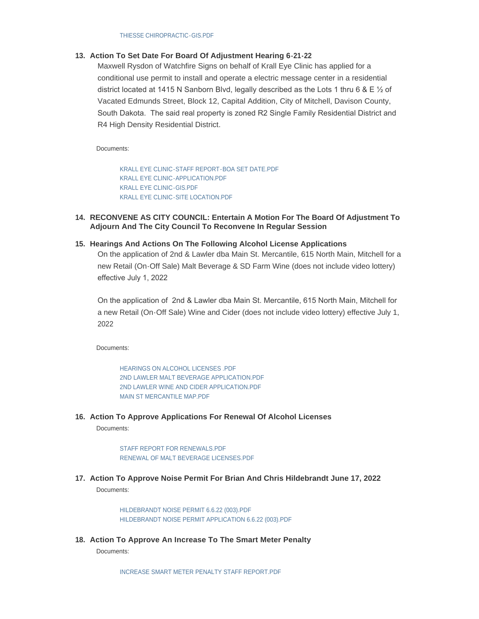# **Action To Set Date For Board Of Adjustment Hearing 6-21-22 13.**

Maxwell Rysdon of Watchfire Signs on behalf of Krall Eye Clinic has applied for a conditional use permit to install and operate a electric message center in a residential district located at 1415 N Sanborn Blvd, legally described as the Lots 1 thru 6 & E ½ of Vacated Edmunds Street, Block 12, Capital Addition, City of Mitchell, Davison County, South Dakota. The said real property is zoned R2 Single Family Residential District and R4 High Density Residential District.

Documents:

[KRALL EYE CLINIC-STAFF REPORT-BOA SET DATE.PDF](https://www.cityofmitchell.org/AgendaCenter/ViewFile/Item/13855?fileID=19799) [KRALL EYE CLINIC-APPLICATION.PDF](https://www.cityofmitchell.org/AgendaCenter/ViewFile/Item/13855?fileID=19800) [KRALL EYE CLINIC-GIS.PDF](https://www.cityofmitchell.org/AgendaCenter/ViewFile/Item/13855?fileID=19801) [KRALL EYE CLINIC-SITE LOCATION.PDF](https://www.cityofmitchell.org/AgendaCenter/ViewFile/Item/13855?fileID=19802)

**RECONVENE AS CITY COUNCIL: Entertain A Motion For The Board Of Adjustment To 14. Adjourn And The City Council To Reconvene In Regular Session**

# **Hearings And Actions On The Following Alcohol License Applications 15.**

On the application of 2nd & Lawler dba Main St. Mercantile, 615 North Main, Mitchell for a new Retail (On-Off Sale) Malt Beverage & SD Farm Wine (does not include video lottery) effective July 1, 2022

On the application of 2nd & Lawler dba Main St. Mercantile, 615 North Main, Mitchell for a new Retail (On-Off Sale) Wine and Cider (does not include video lottery) effective July 1, 2022

Documents:

[HEARINGS ON ALCOHOL LICENSES .PDF](https://www.cityofmitchell.org/AgendaCenter/ViewFile/Item/13871?fileID=19769) [2ND LAWLER MALT BEVERAGE APPLICATION.PDF](https://www.cityofmitchell.org/AgendaCenter/ViewFile/Item/13871?fileID=19771) [2ND LAWLER WINE AND CIDER APPLICATION.PDF](https://www.cityofmitchell.org/AgendaCenter/ViewFile/Item/13871?fileID=19770) [MAIN ST MERCANTILE MAP.PDF](https://www.cityofmitchell.org/AgendaCenter/ViewFile/Item/13871?fileID=19768)

**Action To Approve Applications For Renewal Of Alcohol Licenses 16.**

Documents:

[STAFF REPORT FOR RENEWALS.PDF](https://www.cityofmitchell.org/AgendaCenter/ViewFile/Item/13873?fileID=19773) [RENEWAL OF MALT BEVERAGE LICENSES.PDF](https://www.cityofmitchell.org/AgendaCenter/ViewFile/Item/13873?fileID=19772)

**Action To Approve Noise Permit For Brian And Chris Hildebrandt June 17, 2022 17.**

Documents:

[HILDEBRANDT NOISE PERMIT 6.6.22 \(003\).PDF](https://www.cityofmitchell.org/AgendaCenter/ViewFile/Item/13856?fileID=19738) [HILDEBRANDT NOISE PERMIT APPLICATION 6.6.22 \(003\).PDF](https://www.cityofmitchell.org/AgendaCenter/ViewFile/Item/13856?fileID=19739)

**Action To Approve An Increase To The Smart Meter Penalty 18.** Documents:

[INCREASE SMART METER PENALTY STAFF REPORT.PDF](https://www.cityofmitchell.org/AgendaCenter/ViewFile/Item/13866?fileID=19757)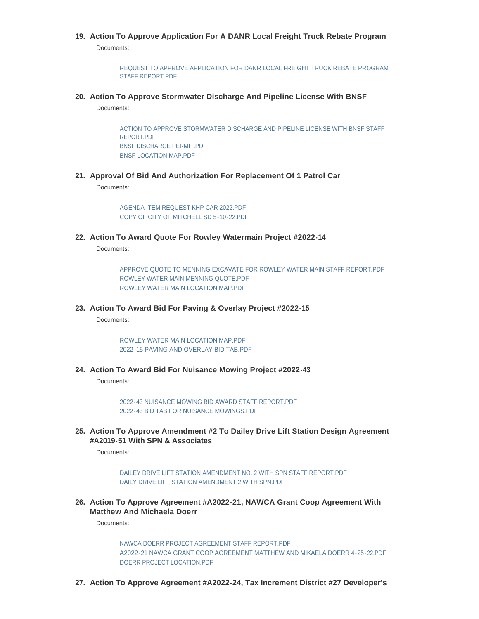# **Action To Approve Application For A DANR Local Freight Truck Rebate Program 19.** Documents:

[REQUEST TO APPROVE APPLICATION FOR DANR LOCAL FREIGHT TRUCK REBATE PROGRAM](https://www.cityofmitchell.org/AgendaCenter/ViewFile/Item/13869?fileID=19762)  STAFF REPORT.PDF

**Action To Approve Stormwater Discharge And Pipeline License With BNSF 20.**

Documents:

[ACTION TO APPROVE STORMWATER DISCHARGE AND PIPELINE LICENSE WITH BNSF STAFF](https://www.cityofmitchell.org/AgendaCenter/ViewFile/Item/13865?fileID=19765)  REPORT.PDF [BNSF DISCHARGE PERMIT.PDF](https://www.cityofmitchell.org/AgendaCenter/ViewFile/Item/13865?fileID=19755) [BNSF LOCATION MAP.PDF](https://www.cityofmitchell.org/AgendaCenter/ViewFile/Item/13865?fileID=19756)

**Approval Of Bid And Authorization For Replacement Of 1 Patrol Car 21.**

Documents:

[AGENDA ITEM REQUEST KHP CAR 2022.PDF](https://www.cityofmitchell.org/AgendaCenter/ViewFile/Item/13863?fileID=19784) [COPY OF CITY OF MITCHELL SD 5-10-22.PDF](https://www.cityofmitchell.org/AgendaCenter/ViewFile/Item/13863?fileID=19753)

**Action To Award Quote For Rowley Watermain Project #2022-14 22.**

Documents:

APPROVE QUOTE TO MENNING EXCAVATE FOR ROWLEY WATER MAIN STAFF REPORT PDF [ROWLEY WATER MAIN MENNING QUOTE.PDF](https://www.cityofmitchell.org/AgendaCenter/ViewFile/Item/13864?fileID=19788) [ROWLEY WATER MAIN LOCATION MAP.PDF](https://www.cityofmitchell.org/AgendaCenter/ViewFile/Item/13864?fileID=19789)

**Action To Award Bid For Paving & Overlay Project #2022-15 23.**

Documents:

[ROWLEY WATER MAIN LOCATION MAP.PDF](https://www.cityofmitchell.org/AgendaCenter/ViewFile/Item/13820?fileID=19790) [2022-15 PAVING AND OVERLAY BID TAB.PDF](https://www.cityofmitchell.org/AgendaCenter/ViewFile/Item/13820?fileID=19791)

**Action To Award Bid For Nuisance Mowing Project #2022-43 24.**

Documents:

[2022-43 NUISANCE MOWING BID AWARD STAFF REPORT.PDF](https://www.cityofmitchell.org/AgendaCenter/ViewFile/Item/13819?fileID=19758) [2022-43 BID TAB FOR NUISANCE MOWINGS.PDF](https://www.cityofmitchell.org/AgendaCenter/ViewFile/Item/13819?fileID=19759)

**Action To Approve Amendment #2 To Dailey Drive Lift Station Design Agreement 25. #A2019-51 With SPN & Associates**

Documents:

[DAILEY DRIVE LIFT STATION AMENDMENT NO. 2 WITH SPN STAFF REPORT.PDF](https://www.cityofmitchell.org/AgendaCenter/ViewFile/Item/13835?fileID=19767) [DAILY DRIVE LIFT STATION AMENDMENT 2 WITH SPN.PDF](https://www.cityofmitchell.org/AgendaCenter/ViewFile/Item/13835?fileID=19766)

**Action To Approve Agreement #A2022-21, NAWCA Grant Coop Agreement With 26. Matthew And Michaela Doerr**

Documents:

[NAWCA DOERR PROJECT AGREEMENT STAFF REPORT.PDF](https://www.cityofmitchell.org/AgendaCenter/ViewFile/Item/13833?fileID=19781) [A2022-21 NAWCA GRANT COOP AGREEMENT MATTHEW AND MIKAELA DOERR 4-25-22.PDF](https://www.cityofmitchell.org/AgendaCenter/ViewFile/Item/13833?fileID=19782) [DOERR PROJECT LOCATION.PDF](https://www.cityofmitchell.org/AgendaCenter/ViewFile/Item/13833?fileID=19783)

**Action To Approve Agreement #A2022-24, Tax Increment District #27 Developer's 27.**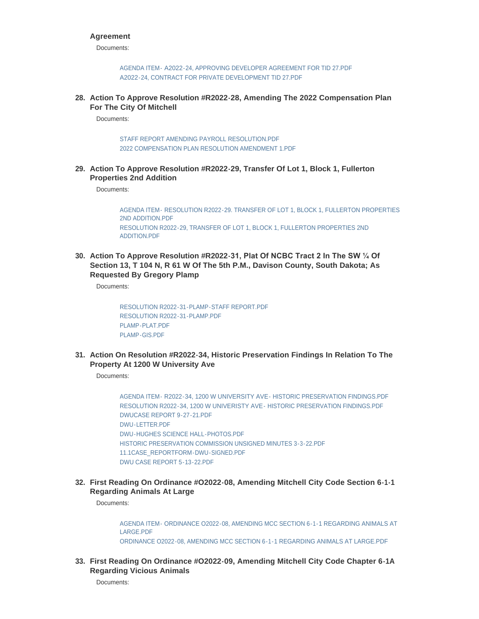### **Agreement**

Documents:

AGENDA ITEM- [A2022-24, APPROVING DEVELOPER AGREEMENT FOR TID 27.PDF](https://www.cityofmitchell.org/AgendaCenter/ViewFile/Item/13836?fileID=19724) [A2022-24, CONTRACT FOR PRIVATE DEVELOPMENT TID 27.PDF](https://www.cityofmitchell.org/AgendaCenter/ViewFile/Item/13836?fileID=19725)

**Action To Approve Resolution #R2022-28, Amending The 2022 Compensation Plan 28. For The City Of Mitchell**

Documents:

[STAFF REPORT AMENDING PAYROLL RESOLUTION.PDF](https://www.cityofmitchell.org/AgendaCenter/ViewFile/Item/13858?fileID=19740) [2022 COMPENSATION PLAN RESOLUTION AMENDMENT 1.PDF](https://www.cityofmitchell.org/AgendaCenter/ViewFile/Item/13858?fileID=19741)

**Action To Approve Resolution #R2022-29, Transfer Of Lot 1, Block 1, Fullerton 29. Properties 2nd Addition**

Documents:

AGENDA ITEM- [RESOLUTION R2022-29. TRANSFER OF LOT 1, BLOCK 1, FULLERTON PROPERTIES](https://www.cityofmitchell.org/AgendaCenter/ViewFile/Item/13838?fileID=19793)  2ND ADDITION.PDF [RESOLUTION R2022-29, TRANSFER OF LOT 1, BLOCK 1, FULLERTON PROPERTIES 2ND](https://www.cityofmitchell.org/AgendaCenter/ViewFile/Item/13838?fileID=19792)  ADDITION.PDF

**Action To Approve Resolution #R2022-31, Plat Of NCBC Tract 2 In The SW ¼ Of 30. Section 13, T 104 N, R 61 W Of The 5th P.M., Davison County, South Dakota; As Requested By Gregory Plamp**

Documents:

[RESOLUTION R2022-31-PLAMP-STAFF REPORT.PDF](https://www.cityofmitchell.org/AgendaCenter/ViewFile/Item/13859?fileID=19742) [RESOLUTION R2022-31-PLAMP.PDF](https://www.cityofmitchell.org/AgendaCenter/ViewFile/Item/13859?fileID=19743) [PLAMP-PLAT.PDF](https://www.cityofmitchell.org/AgendaCenter/ViewFile/Item/13859?fileID=19744) [PLAMP-GIS.PDF](https://www.cityofmitchell.org/AgendaCenter/ViewFile/Item/13859?fileID=19745)

**Action On Resolution #R2022-34, Historic Preservation Findings In Relation To The 31. Property At 1200 W University Ave**

Documents:

[AGENDA ITEM- R2022-34, 1200 W UNIVERSITY AVE- HISTORIC PRESERVATION FINDINGS.PDF](https://www.cityofmitchell.org/AgendaCenter/ViewFile/Item/13878?fileID=19815) [RESOLUTION R2022-34, 1200 W UNIVERISTY AVE- HISTORIC PRESERVATION FINDINGS.PDF](https://www.cityofmitchell.org/AgendaCenter/ViewFile/Item/13878?fileID=19816) [DWUCASE REPORT 9-27-21.PDF](https://www.cityofmitchell.org/AgendaCenter/ViewFile/Item/13878?fileID=19817) [DWU-LETTER.PDF](https://www.cityofmitchell.org/AgendaCenter/ViewFile/Item/13878?fileID=19818) [DWU-HUGHES SCIENCE HALL-PHOTOS.PDF](https://www.cityofmitchell.org/AgendaCenter/ViewFile/Item/13878?fileID=19819) [HISTORIC PRESERVATION COMMISSION UNSIGNED MINUTES 3-3-22.PDF](https://www.cityofmitchell.org/AgendaCenter/ViewFile/Item/13878?fileID=19820) [11.1CASE\\_REPORTFORM-DWU-SIGNED.PDF](https://www.cityofmitchell.org/AgendaCenter/ViewFile/Item/13878?fileID=19821) [DWU CASE REPORT 5-13-22.PDF](https://www.cityofmitchell.org/AgendaCenter/ViewFile/Item/13878?fileID=19822)

**First Reading On Ordinance #O2022-08, Amending Mitchell City Code Section 6-1-1 32. Regarding Animals At Large**

Documents:

[AGENDA ITEM- ORDINANCE O2022-08, AMENDING MCC SECTION 6-1-1 REGARDING ANIMALS AT](https://www.cityofmitchell.org/AgendaCenter/ViewFile/Item/13879?fileID=19809)  LARGE.PDF [ORDINANCE O2022-08, AMENDING MCC SECTION 6-1-1 REGARDING ANIMALS AT LARGE.PDF](https://www.cityofmitchell.org/AgendaCenter/ViewFile/Item/13879?fileID=19810)

**First Reading On Ordinance #O2022-09, Amending Mitchell City Code Chapter 6-1A 33. Regarding Vicious Animals**

Documents: